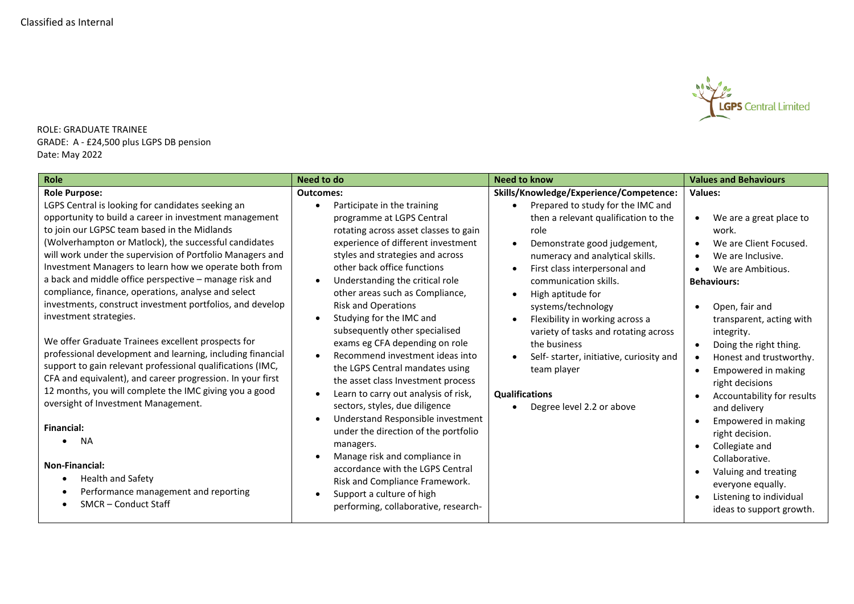

ROLE: GRADUATE TRAINEE GRADE: A - £24,500 plus LGPS DB pension Date: May 2022

| Role                                                                                                                                                                                                                                                                                                                                                                                                                                                                                                                                                                                                                                                                                                                                                                                                                                                                                                                                                                       | Need to do                                                                                                                                                                                                                                                                                                                                                                                                                                                                                                                                                                                                                                                                                                                                                                          | <b>Need to know</b>                                                                                                                                                                                                                                                                                                                                                                                                                                                                                             | <b>Values and Behaviours</b>                                                                                                                                                                                                                                                                                                                                                                                                                                                       |
|----------------------------------------------------------------------------------------------------------------------------------------------------------------------------------------------------------------------------------------------------------------------------------------------------------------------------------------------------------------------------------------------------------------------------------------------------------------------------------------------------------------------------------------------------------------------------------------------------------------------------------------------------------------------------------------------------------------------------------------------------------------------------------------------------------------------------------------------------------------------------------------------------------------------------------------------------------------------------|-------------------------------------------------------------------------------------------------------------------------------------------------------------------------------------------------------------------------------------------------------------------------------------------------------------------------------------------------------------------------------------------------------------------------------------------------------------------------------------------------------------------------------------------------------------------------------------------------------------------------------------------------------------------------------------------------------------------------------------------------------------------------------------|-----------------------------------------------------------------------------------------------------------------------------------------------------------------------------------------------------------------------------------------------------------------------------------------------------------------------------------------------------------------------------------------------------------------------------------------------------------------------------------------------------------------|------------------------------------------------------------------------------------------------------------------------------------------------------------------------------------------------------------------------------------------------------------------------------------------------------------------------------------------------------------------------------------------------------------------------------------------------------------------------------------|
| <b>Role Purpose:</b><br>LGPS Central is looking for candidates seeking an<br>opportunity to build a career in investment management<br>to join our LGPSC team based in the Midlands<br>(Wolverhampton or Matlock), the successful candidates<br>will work under the supervision of Portfolio Managers and<br>Investment Managers to learn how we operate both from<br>a back and middle office perspective - manage risk and<br>compliance, finance, operations, analyse and select<br>investments, construct investment portfolios, and develop<br>investment strategies.<br>We offer Graduate Trainees excellent prospects for<br>professional development and learning, including financial<br>support to gain relevant professional qualifications (IMC,<br>CFA and equivalent), and career progression. In your first<br>12 months, you will complete the IMC giving you a good<br>oversight of Investment Management.<br><b>Financial:</b><br><b>NA</b><br>$\bullet$ | <b>Outcomes:</b><br>Participate in the training<br>$\bullet$<br>programme at LGPS Central<br>rotating across asset classes to gain<br>experience of different investment<br>styles and strategies and across<br>other back office functions<br>Understanding the critical role<br>$\bullet$<br>other areas such as Compliance,<br><b>Risk and Operations</b><br>Studying for the IMC and<br>$\bullet$<br>subsequently other specialised<br>exams eg CFA depending on role<br>Recommend investment ideas into<br>$\bullet$<br>the LGPS Central mandates using<br>the asset class Investment process<br>Learn to carry out analysis of risk,<br>$\bullet$<br>sectors, styles, due diligence<br>Understand Responsible investment<br>under the direction of the portfolio<br>managers. | Skills/Knowledge/Experience/Competence:<br>Prepared to study for the IMC and<br>then a relevant qualification to the<br>role<br>Demonstrate good judgement,<br>numeracy and analytical skills.<br>First class interpersonal and<br>communication skills.<br>High aptitude for<br>systems/technology<br>Flexibility in working across a<br>variety of tasks and rotating across<br>the business<br>Self- starter, initiative, curiosity and<br>team player<br><b>Qualifications</b><br>Degree level 2.2 or above | <b>Values:</b><br>We are a great place to<br>$\bullet$<br>work.<br>We are Client Focused.<br>We are Inclusive.<br>We are Ambitious.<br><b>Behaviours:</b><br>Open, fair and<br>transparent, acting with<br>integrity.<br>Doing the right thing.<br>$\bullet$<br>Honest and trustworthy.<br>$\bullet$<br>Empowered in making<br>$\bullet$<br>right decisions<br>Accountability for results<br>and delivery<br>Empowered in making<br>right decision.<br>Collegiate and<br>$\bullet$ |
| <b>Non-Financial:</b><br><b>Health and Safety</b><br>$\bullet$<br>Performance management and reporting<br><b>SMCR-Conduct Staff</b>                                                                                                                                                                                                                                                                                                                                                                                                                                                                                                                                                                                                                                                                                                                                                                                                                                        | Manage risk and compliance in<br>$\bullet$<br>accordance with the LGPS Central<br>Risk and Compliance Framework.<br>Support a culture of high<br>$\bullet$<br>performing, collaborative, research-                                                                                                                                                                                                                                                                                                                                                                                                                                                                                                                                                                                  |                                                                                                                                                                                                                                                                                                                                                                                                                                                                                                                 | Collaborative.<br>Valuing and treating<br>everyone equally.<br>Listening to individual<br>ideas to support growth.                                                                                                                                                                                                                                                                                                                                                                 |